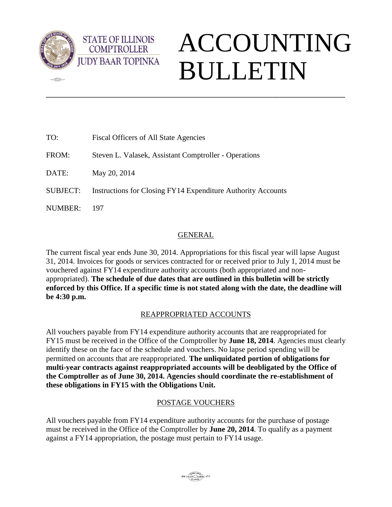

 $\sqrt{2\pi}$ 

**STATE OF ILLINOIS COMPTROLLER** 

# ACCOUNTING BULLETIN

| TO:             | Fiscal Officers of All State Agencies                        |
|-----------------|--------------------------------------------------------------|
| FROM:           | Steven L. Valasek, Assistant Comptroller - Operations        |
| DATE:           | May 20, 2014                                                 |
| <b>SUBJECT:</b> | Instructions for Closing FY14 Expenditure Authority Accounts |
| NUMBER:         | 197                                                          |
|                 |                                                              |

# GENERAL

\_\_\_\_\_\_\_\_\_\_\_\_\_\_\_\_\_\_\_\_\_\_\_\_\_\_\_\_\_\_\_\_\_\_\_\_\_\_\_\_\_\_\_\_\_\_\_\_\_\_\_\_\_\_\_\_\_\_\_\_\_\_\_\_\_\_\_\_\_\_

The current fiscal year ends June 30, 2014. Appropriations for this fiscal year will lapse August 31, 2014. Invoices for goods or services contracted for or received prior to July 1, 2014 must be vouchered against FY14 expenditure authority accounts (both appropriated and nonappropriated). **The schedule of due dates that are outlined in this bulletin will be strictly enforced by this Office. If a specific time is not stated along with the date, the deadline will be 4:30 p.m.** 

# REAPPROPRIATED ACCOUNTS

All vouchers payable from FY14 expenditure authority accounts that are reappropriated for FY15 must be received in the Office of the Comptroller by **June 18, 2014**. Agencies must clearly identify these on the face of the schedule and vouchers. No lapse period spending will be permitted on accounts that are reappropriated. **The unliquidated portion of obligations for multi-year contracts against reappropriated accounts will be deobligated by the Office of the Comptroller as of June 30, 2014. Agencies should coordinate the re-establishment of these obligations in FY15 with the Obligations Unit.** 

## POSTAGE VOUCHERS

All vouchers payable from FY14 expenditure authority accounts for the purchase of postage must be received in the Office of the Comptroller by **June 20, 2014**. To qualify as a payment against a FY14 appropriation, the postage must pertain to FY14 usage.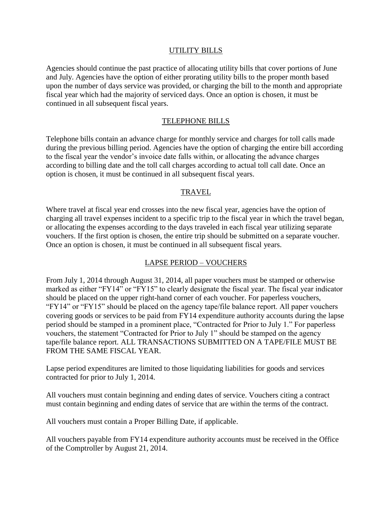#### UTILITY BILLS

Agencies should continue the past practice of allocating utility bills that cover portions of June and July. Agencies have the option of either prorating utility bills to the proper month based upon the number of days service was provided, or charging the bill to the month and appropriate fiscal year which had the majority of serviced days. Once an option is chosen, it must be continued in all subsequent fiscal years.

#### TELEPHONE BILLS

Telephone bills contain an advance charge for monthly service and charges for toll calls made during the previous billing period. Agencies have the option of charging the entire bill according to the fiscal year the vendor's invoice date falls within, or allocating the advance charges according to billing date and the toll call charges according to actual toll call date. Once an option is chosen, it must be continued in all subsequent fiscal years.

#### TRAVEL

Where travel at fiscal year end crosses into the new fiscal year, agencies have the option of charging all travel expenses incident to a specific trip to the fiscal year in which the travel began, or allocating the expenses according to the days traveled in each fiscal year utilizing separate vouchers. If the first option is chosen, the entire trip should be submitted on a separate voucher. Once an option is chosen, it must be continued in all subsequent fiscal years.

#### LAPSE PERIOD – VOUCHERS

From July 1, 2014 through August 31, 2014, all paper vouchers must be stamped or otherwise marked as either "FY14" or "FY15" to clearly designate the fiscal year. The fiscal year indicator should be placed on the upper right-hand corner of each voucher. For paperless vouchers, "FY14" or "FY15" should be placed on the agency tape/file balance report. All paper vouchers covering goods or services to be paid from FY14 expenditure authority accounts during the lapse period should be stamped in a prominent place, "Contracted for Prior to July 1." For paperless vouchers, the statement "Contracted for Prior to July 1" should be stamped on the agency tape/file balance report. ALL TRANSACTIONS SUBMITTED ON A TAPE/FILE MUST BE FROM THE SAME FISCAL YEAR.

Lapse period expenditures are limited to those liquidating liabilities for goods and services contracted for prior to July 1, 2014.

All vouchers must contain beginning and ending dates of service. Vouchers citing a contract must contain beginning and ending dates of service that are within the terms of the contract.

All vouchers must contain a Proper Billing Date, if applicable.

All vouchers payable from FY14 expenditure authority accounts must be received in the Office of the Comptroller by August 21, 2014.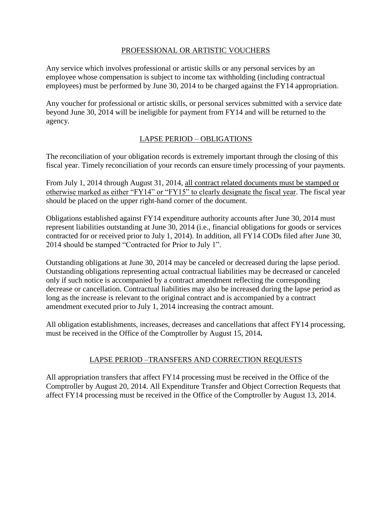### PROFESSIONAL OR ARTISTIC VOUCHERS

Any service which involves professional or artistic skills or any personal services by an employee whose compensation is subject to income tax withholding (including contractual employees) must be performed by June 30, 2014 to be charged against the FY14 appropriation.

Any voucher for professional or artistic skills, or personal services submitted with a service date beyond June 30, 2014 will be ineligible for payment from FY14 and will be returned to the agency.

## LAPSE PERIOD – OBLIGATIONS

The reconciliation of your obligation records is extremely important through the closing of this fiscal year. Timely reconciliation of your records can ensure timely processing of your payments.

From July 1, 2014 through August 31, 2014, all contract related documents must be stamped or otherwise marked as either "FY14" or "FY15" to clearly designate the fiscal year. The fiscal year should be placed on the upper right-hand corner of the document.

Obligations established against FY14 expenditure authority accounts after June 30, 2014 must represent liabilities outstanding at June 30, 2014 (i.e., financial obligations for goods or services contracted for or received prior to July 1, 2014). In addition, all FY14 CODs filed after June 30, 2014 should be stamped "Contracted for Prior to July 1".

Outstanding obligations at June 30, 2014 may be canceled or decreased during the lapse period. Outstanding obligations representing actual contractual liabilities may be decreased or canceled only if such notice is accompanied by a contract amendment reflecting the corresponding decrease or cancellation. Contractual liabilities may also be increased during the lapse period as long as the increase is relevant to the original contract and is accompanied by a contract amendment executed prior to July 1, 2014 increasing the contract amount.

All obligation establishments, increases, decreases and cancellations that affect FY14 processing, must be received in the Office of the Comptroller by August 15, 2014**.** 

## LAPSE PERIOD –TRANSFERS AND CORRECTION REQUESTS

All appropriation transfers that affect FY14 processing must be received in the Office of the Comptroller by August 20, 2014. All Expenditure Transfer and Object Correction Requests that affect FY14 processing must be received in the Office of the Comptroller by August 13, 2014.